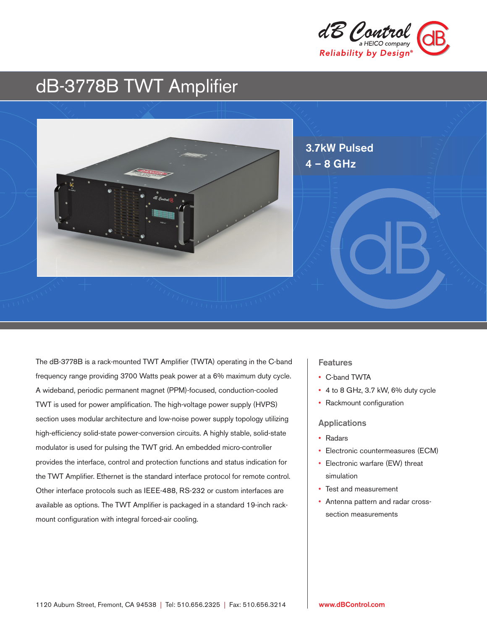

# dB-3778B TWT Amplifier



The dB-3778B is a rack-mounted TWT Amplifier (TWTA) operating in the C-band frequency range providing 3700 Watts peak power at a 6% maximum duty cycle. A wideband, periodic permanent magnet (PPM)-focused, conduction-cooled TWT is used for power amplification. The high-voltage power supply (HVPS) section uses modular architecture and low-noise power supply topology utilizing high-efficiency solid-state power-conversion circuits. A highly stable, solid-state modulator is used for pulsing the TWT grid. An embedded micro-controller provides the interface, control and protection functions and status indication for the TWT Amplifier. Ethernet is the standard interface protocol for remote control. Other interface protocols such as IEEE-488, RS-232 or custom interfaces are available as options. The TWT Amplifier is packaged in a standard 19-inch rackmount configuration with integral forced-air cooling.

### **Features**

- C-band TWTA
- 4 to 8 GHz, 3.7 kW, 6% duty cycle
- Rackmount configuration

#### Applications

- Radars
- Electronic countermeasures (ECM)
- Electronic warfare (EW) threat simulation
- Test and measurement
- Antenna pattern and radar crosssection measurements